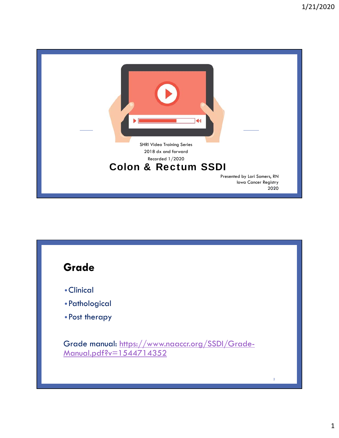

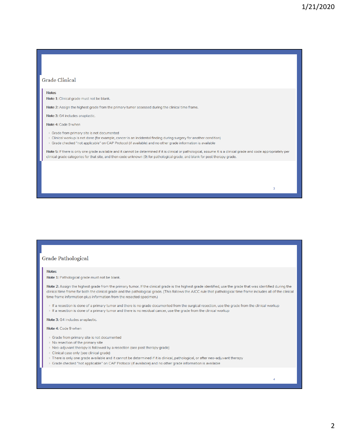4

#### **Grade Clinical**

#### **Notes**

Note 1: Clinical grade must not be blank.

Note 2: Assign the highest grade from the primary tumor assessed during the clinical time frame.

Note 3: G4 includes anaplastic.

#### Note 4: Code 9 when

> Grade from primary site is not documented

- > Clinical workup is not done (for example, cancer is an incidental finding during surgery for another condition)
- > Grade checked "not applicable" on CAP Protocol (if available) and no other grade information is available

Note 5: If there is only one grade available and it cannot be determined if it is clinical or pathological, assume it is a clinical grade and code appropriately per clinical grade categories for that site, and then code unknown (9) for pathological grade, and blank for post therapy grade.

#### **Grade Pathological**

#### **Notes**

Note 1: Pathological grade must not be blank.

Note 2: Assign the highest grade from the primary tumor. If the clinical grade is the highest grade identified, use the grade that was identified during the clinical time frame for both the clinical grade and the pathological grade. (This follows the AJCC rule that pathological time frame includes all of the clinical time frame information plus information from the resected specimen.)

> If a resection is done of a primary tumor and there is no grade documented from the surgical resection, use the grade from the clinical workup > If a resection is done of a primary tumor and there is no residual cancer, use the grade from the clinical workup

Note 3: G4 includes anaplastic.

Note 4: Code 9 when

- > Grade from primary site is not documented
- > No resection of the primary site
- > Neo-adjuvant therapy is followed by a resection (see post therapy grade)
- > Clinical case only (see clinical grade)
- > There is only one grade available and it cannot be determined if it is clinical, pathological, or after neo-adjuvant therapy
- > Grade checked "not applicable" on CAP Protocol (if available) and no other grade information is available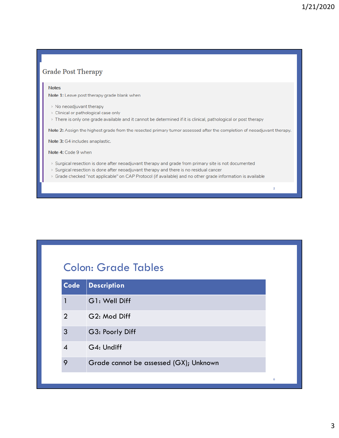#### **Grade Post Therapy**

#### **Notes**

Note 1: Leave post therapy grade blank when

- > No neoadjuvant therapy
- > Clinical or pathological case only
- > There is only one grade available and it cannot be determined if it is clinical, pathological or post therapy

Note 2: Assign the highest grade from the resected primary tumor assessed after the completion of neoadjuvant therapy.

Note 3: G4 includes anaplastic.

Note 4: Code 9 when

- > Surgical resection is done after neoadjuvant therapy and grade from primary site is not documented
- $\rightarrow$  Surgical resection is done after neoadjuvant therapy and there is no residual cancer
- > Grade checked "not applicable" on CAP Protocol (if available) and no other grade information is available

## Colon: Grade Tables

| Code           | <b>Description</b>                     |
|----------------|----------------------------------------|
|                | G1: Well Diff                          |
| $\overline{2}$ | G2: Mod Diff                           |
| 3              | G3: Poorly Diff                        |
|                | G4: Undiff                             |
| 9              | Grade cannot be assessed (GX); Unknown |
|                |                                        |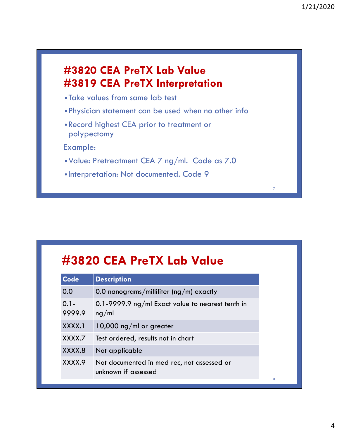### **#3820 CEA PreTX Lab Value #3819 CEA PreTX Interpretation**

- Take values from same lab test
- •Physician statement can be used when no other info
- •Record highest CEA prior to treatment or polypectomy

Example:

- •Value: Pretreatment CEA 7 ng/ml. Code as 7.0
- Interpretation: Not documented. Code 9

# **#3820 CEA PreTX Lab Value**

| Code              | <b>Description</b>                                                |
|-------------------|-------------------------------------------------------------------|
| 0.0               | 0.0 nanograms/milliliter (ng/m) exactly                           |
| $0.1 -$<br>9999.9 | 0.1-9999.9 ng/ml Exact value to nearest tenth in<br>ng/ml         |
| XXXX.1            | 10,000 ng/ml or greater                                           |
| XXXX.7            | Test ordered, results not in chart                                |
| XXXX.8            | Not applicable                                                    |
| XXXX.9            | Not documented in med rec, not assessed or<br>unknown if assessed |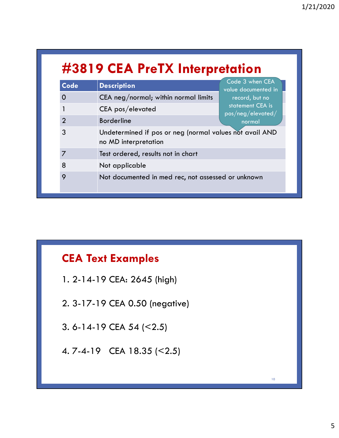# **#3819 CEA PreTX Interpretation**

| Code           | <b>Description</b>                                                              | Code 3 when CEA<br>value documented in                                       |  |  |
|----------------|---------------------------------------------------------------------------------|------------------------------------------------------------------------------|--|--|
| 0              | CEA neg/normal; within normal limits<br>record, but no                          |                                                                              |  |  |
|                | CEA pos/elevated                                                                | statement CEA is<br>$\mathsf{pos}/\mathsf{neg}/\mathsf{elevated}/\mathsf{e}$ |  |  |
| $\overline{2}$ | <b>Borderline</b>                                                               | normal                                                                       |  |  |
| 3              | Undetermined if pos or neg (normal values not avail AND<br>no MD interpretation |                                                                              |  |  |
|                | Test ordered, results not in chart                                              |                                                                              |  |  |
| 8              | Not applicable                                                                  |                                                                              |  |  |
| 9              | Not documented in med rec, not assessed or unknown                              |                                                                              |  |  |

## **CEA Text Examples**

1. 2-14-19 CEA: 2645 (high) 2. 3-17-19 CEA 0.50 (negative) 3. 6-14-19 CEA 54 (<2.5) 4. 7-4-19 CEA 18.35 (<2.5)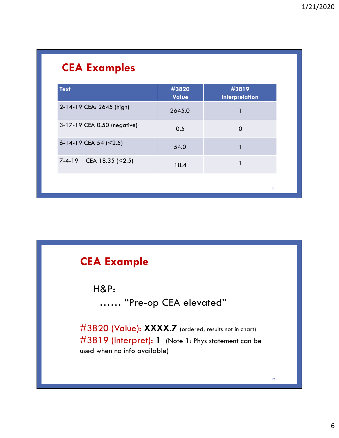# **CEA Examples**

| Value  | <b>Interpretation</b> |
|--------|-----------------------|
| 2645.0 | 1                     |
| 0.5    | 0                     |
| 54.0   |                       |
| 18.4   | 1                     |
|        | 11                    |
|        |                       |

## **CEA Example**

H&P:

…… "Pre-op CEA elevated"

#3820 (Value): XXXX.7 (ordered, results not in chart) #3819 (Interpret): **1** (Note 1: Phys statement can be used when no info available)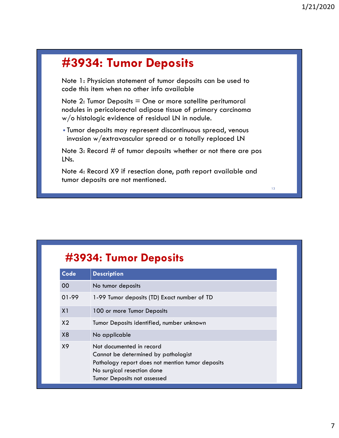# **#3934: Tumor Deposits**

Note 1: Physician statement of tumor deposits can be used to code this item when no other info available

Note  $2$ : Tumor Deposits  $=$  One or more satellite peritumoral nodules in pericolorectal adipose tissue of primary carcinoma w/o histologic evidence of residual LN in nodule.

• Tumor deposits may represent discontinuous spread, venous invasion w/extravascular spread or a totally replaced LN

Note 3: Record # of tumor deposits whether or not there are pos IN<sub>s.</sub>

Note 4: Record X9 if resection done, path report available and tumor deposits are not mentioned.

#### **#3934: Tumor Deposits**

| Code           | <b>Description</b>                                                                                                                                                                      |
|----------------|-----------------------------------------------------------------------------------------------------------------------------------------------------------------------------------------|
| 00             | No tumor deposits                                                                                                                                                                       |
| 01-99          | 1-99 Tumor deposits (TD) Exact number of TD                                                                                                                                             |
| X1             | 100 or more Tumor Deposits                                                                                                                                                              |
| X <sub>2</sub> | Tumor Deposits identified, number unknown                                                                                                                                               |
| X <sub>8</sub> | No applicable                                                                                                                                                                           |
| X9             | Not documented in record<br>Cannot be determined by pathologist<br>Pathology report does not mention tumor deposits<br>No surgical resection done<br><b>Tumor Deposits not assessed</b> |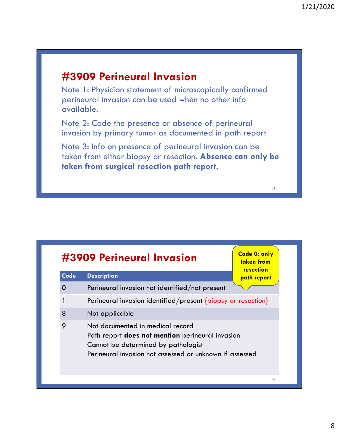### **#3909 Perineural Invasion**

Note 1: Physician statement of microscopically confirmed perineural invasion can be used when no other info available.

Note 2: Code the presence or absence of perineural invasion by primary tumor as documented in path report

Note 3: Info on presence of perineural invasion can be taken from either biopsy or resection. **Absence can only be taken from surgical resection path report.**

| #3909 Perineural Invasion | Code 0: only<br>taken from<br>resection                                                                                                                                                |             |
|---------------------------|----------------------------------------------------------------------------------------------------------------------------------------------------------------------------------------|-------------|
| <b>Code</b>               | <b>Description</b>                                                                                                                                                                     | path report |
| 0                         | Perineural invasion not identified/not present                                                                                                                                         |             |
|                           | Perineural invasion identified/present $\{ \text{biopy or resection} \}$                                                                                                               |             |
| 8                         | Not applicable                                                                                                                                                                         |             |
| 9                         | Not documented in medical record<br>Path report does not mention perineural invasion<br>Cannot be determined by pathologist<br>Perineural invasion not assessed or unknown if assessed |             |
|                           |                                                                                                                                                                                        | 16          |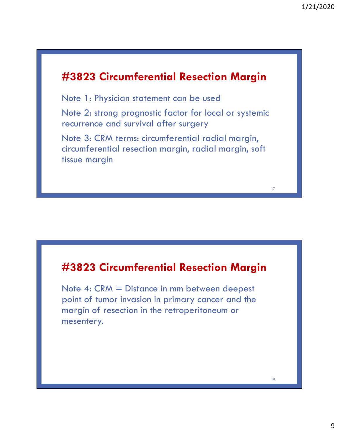#### **#3823 Circumferential Resection Margin**

Note 1: Physician statement can be used

Note 2: strong prognostic factor for local or systemic recurrence and survival after surgery

Note 3: CRM terms: circumferential radial margin, circumferential resection margin, radial margin, soft tissue margin

#### **#3823 Circumferential Resection Margin**

Note 4: CRM = Distance in mm between deepest point of tumor invasion in primary cancer and the margin of resection in the retroperitoneum or mesentery.

18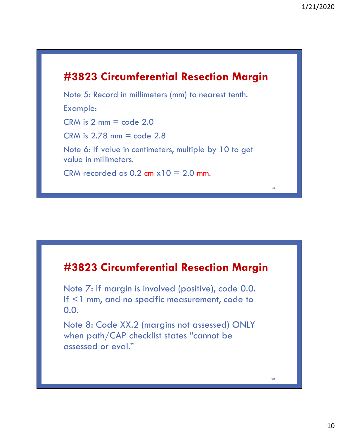### **#3823 Circumferential Resection Margin**

Note 5: Record in millimeters (mm) to nearest tenth.

Example:

 $CRM$  is  $2 \text{ mm} = \text{code} 2.0$ 

 $CRM$  is  $2.78$  mm = code  $2.8$ 

Note 6: If value in centimeters, multiple by 10 to get value in millimeters.

CRM recorded as  $0.2$  cm  $x10 = 2.0$  mm.

#### **#3823 Circumferential Resection Margin**

Note 7: If margin is involved (positive), code 0.0. If <1 mm, and no specific measurement, code to 0.0.

Note 8: Code XX.2 (margins not assessed) ONLY when path/CAP checklist states "cannot be assessed or eval."

20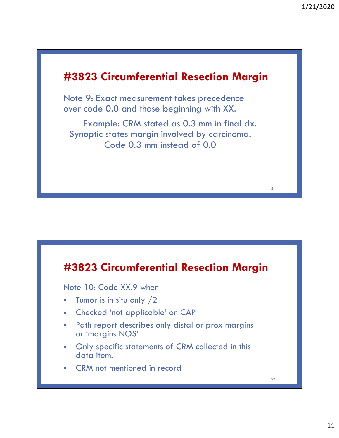### **#3823 Circumferential Resection Margin**

Note 9: Exact measurement takes precedence over code 0.0 and those beginning with XX.

Example: CRM stated as 0.3 mm in final dx. Synoptic states margin involved by carcinoma. Code 0.3 mm instead of 0.0

#### **#3823 Circumferential Resection Margin**

Note 10: Code XX.9 when

- Tumor is in situ only  $/2$
- Checked 'not applicable' on CAP
- Path report describes only distal or prox margins or 'margins NOS'
- Only specific statements of CRM collected in this data item.
- CRM not mentioned in record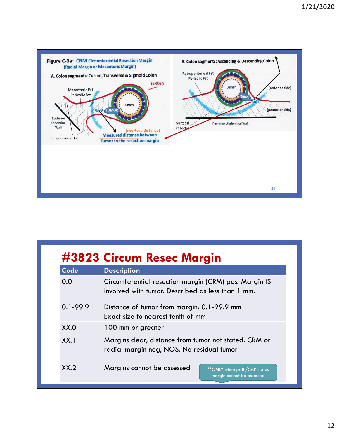

| #3823 Circum Resec Margin |                                                                                                            |  |  |  |  |
|---------------------------|------------------------------------------------------------------------------------------------------------|--|--|--|--|
| <b>Code</b>               | <b>Description</b>                                                                                         |  |  |  |  |
| 0.0                       | Circumferential resection margin (CRM) pos. Margin IS<br>involved with tumor. Described as less than 1 mm. |  |  |  |  |
| $0.1 - 99.9$              | Distance of tumor from margin: 0.1-99.9 mm<br>Exact size to nearest tenth of mm                            |  |  |  |  |
| XX.0                      | 100 mm or greater                                                                                          |  |  |  |  |
| XX.1                      | Margins clear, distance from tumor not stated. CRM or<br>radial margin neg, NOS. No residual tumor         |  |  |  |  |
| XX.2                      | Margins cannot be assessed<br>** ONLY when path/CAP states<br>margin cannot be assessed                    |  |  |  |  |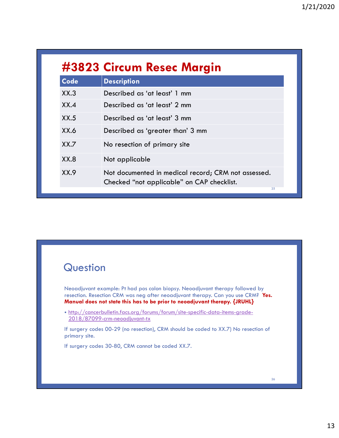| #3823 Circum Resec Margin |                                                                                                         |  |  |  |
|---------------------------|---------------------------------------------------------------------------------------------------------|--|--|--|
| <b>Code</b>               | <b>Description</b>                                                                                      |  |  |  |
| XX.3                      | Described as 'at least' 1 mm                                                                            |  |  |  |
| XX.4                      | Described as 'at least' 2 mm                                                                            |  |  |  |
| XX.5                      | Described as 'at least' 3 mm                                                                            |  |  |  |
| XX.6                      | Described as 'greater than' 3 mm                                                                        |  |  |  |
| XX.7                      | No resection of primary site                                                                            |  |  |  |
| XX.8                      | Not applicable                                                                                          |  |  |  |
| XX.9                      | Not documented in medical record; CRM not assessed.<br>Checked "not applicable" on CAP checklist.<br>25 |  |  |  |

### **Question**

Neoadjuvant example: Pt had pos colon biopsy. Neoadjuvant therapy followed by resection. Resection CRM was neg after neoadjuvant therapy. Can you use CRM? **Yes. Manual does not state this has to be prior to neoadjuvant therapy. {JRUHL}**

• http://cancerbulletin.facs.org/forums/forum/site-specific-data-items-grade-2018/87099-crm-neoadjuvant-tx

If surgery codes 00-29 (no resection), CRM should be coded to XX.7) No resection of primary site.

If surgery codes 30-80, CRM cannot be coded XX.7.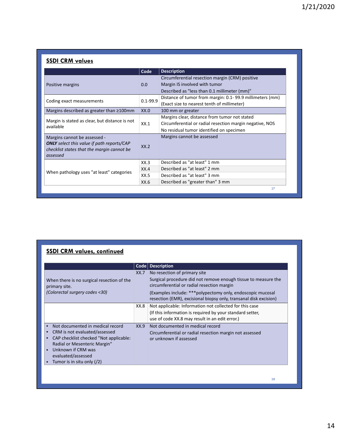#### **SSDI CRM values**

|                                                                                                                                             | Code         | <b>Description</b>                                       |
|---------------------------------------------------------------------------------------------------------------------------------------------|--------------|----------------------------------------------------------|
|                                                                                                                                             | 0.0          | Circumferential resection margin (CRM) positive          |
| Positive margins                                                                                                                            |              | Margin IS involved with tumor                            |
|                                                                                                                                             |              | Described as "less than 0.1 millimeter (mm)"             |
|                                                                                                                                             | $0.1 - 99.9$ | Distance of tumor from margin: 0.1-99.9 millimeters (mm) |
| Coding exact measurements                                                                                                                   |              | (Exact size to nearest tenth of millimeter)              |
| Margins described as greater than ≥100mm                                                                                                    | XX.0         | 100 mm or greater                                        |
|                                                                                                                                             | XX.1         | Margins clear, distance from tumor not stated            |
| Margin is stated as clear, but distance is not<br>available                                                                                 |              | Circumferential or radial resection margin negative, NOS |
|                                                                                                                                             |              | No residual tumor identified on specimen                 |
| Margins cannot be assessed -<br><b>ONLY</b> select this value if path reports/CAP<br>checklist states that the margin cannot be<br>assessed | XX.2         | Margins cannot be assessed                               |
|                                                                                                                                             | XX.3         | Described as "at least" 1 mm                             |
|                                                                                                                                             | XX.4         | Described as "at least" 2 mm                             |
| When pathology uses "at least" categories                                                                                                   | XX.5         | Described as "at least" 3 mm                             |
|                                                                                                                                             | XX.6         | Described as "greater than" 3 mm                         |

#### **SSDI CRM values, continued**

|                                                                                                                                                                                                                                                                                     |      | Code Description                                                                                                                                                                                                                                                                 |
|-------------------------------------------------------------------------------------------------------------------------------------------------------------------------------------------------------------------------------------------------------------------------------------|------|----------------------------------------------------------------------------------------------------------------------------------------------------------------------------------------------------------------------------------------------------------------------------------|
| When there is no surgical resection of the<br>primary site.<br>(Colorectal surgery codes <30)                                                                                                                                                                                       | XX.7 | No resection of primary site<br>Surgical procedure did not remove enough tissue to measure the<br>circumferential or radial resection margin<br>(Examples include: *** polypectomy only, endoscopic mucosal<br>resection (EMR), excisional biopsy only, transanal disk excision) |
|                                                                                                                                                                                                                                                                                     | XX.8 | Not applicable: Information not collected for this case<br>(If this information is required by your standard setter,<br>use of code XX.8 may result in an edit error.)                                                                                                           |
| Not documented in medical record<br>$\bullet$<br>CRM is not evaluated/assessed<br>$\bullet$<br>CAP checklist checked "Not applicable:<br>$\bullet$<br>Radial or Mesenteric Margin"<br>Unknown if CRM was<br>$\bullet$<br>evaluated/assessed<br>Tumor is in situ only $\binom{2}{2}$ | XX.9 | Not documented in medical record<br>Circumferential or radial resection margin not assessed<br>or unknown if assessed                                                                                                                                                            |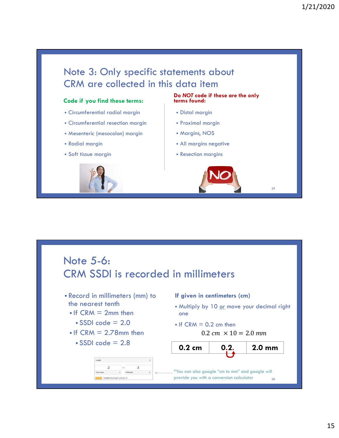

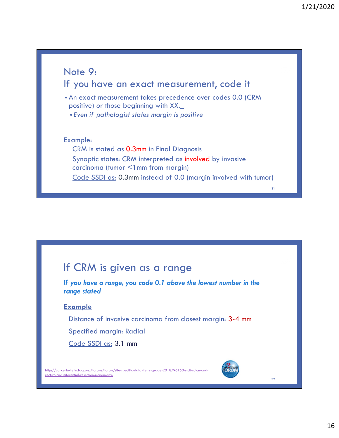

#### If CRM is given as a range

*If you have a range, you code 0.1 above the lowest number in the range stated*

#### **Example**

Distance of invasive carcinoma from closest margin: 3-4 mm

Specified margin: Radial

Code SSDI as: 3.1 mm

http://cancerbulletin.facs.org/forums/forum/site-specific-data-items-grade-2018/96150-ssdi-colon-andrectum-circumferential-resection-margin-size

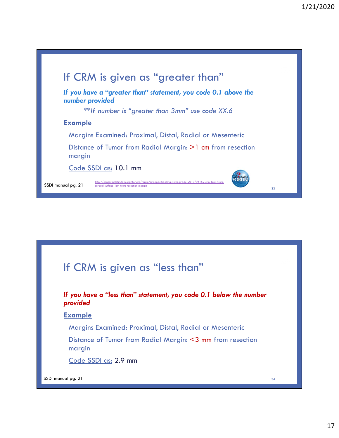

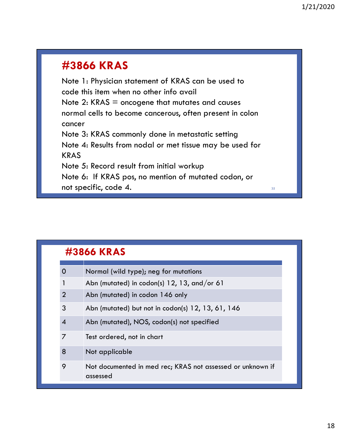## **#3866 KRAS**

Note 1: Physician statement of KRAS can be used to code this item when no other info avail Note  $2$ : KRAS = oncogene that mutates and causes normal cells to become cancerous, often present in colon cancer Note 3: KRAS commonly done in metastatic setting Note 4: Results from nodal or met tissue may be used for KRAS Note 5: Record result from initial workup Note 6: If KRAS pos, no mention of mutated codon, or not specific, code 4.

| #3866 KRAS     |                                                                        |  |  |  |
|----------------|------------------------------------------------------------------------|--|--|--|
| $\Omega$       | Normal (wild type); neg for mutations                                  |  |  |  |
|                | Abn (mutated) in codon(s) $12$ , $13$ , and/or 61                      |  |  |  |
| $\overline{2}$ | Abn (mutated) in codon 146 only                                        |  |  |  |
| 3              | Abn (mutated) but not in codon(s) 12, 13, 61, 146                      |  |  |  |
| $\overline{4}$ | Abn (mutated), NOS, codon(s) not specified                             |  |  |  |
| 7              | Test ordered, not in chart                                             |  |  |  |
| 8              | Not applicable                                                         |  |  |  |
| 9              | Not documented in med rec; KRAS not assessed or unknown if<br>assessed |  |  |  |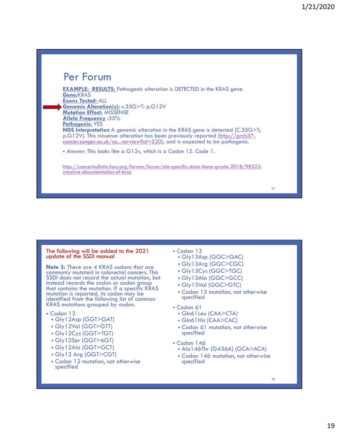#### Per Forum

**EXAMPLE: RESULTS:** Pathogenic alteration is DETECTED in the KRAS gene. **Gene:**KRAS **Exons Tested:** ALL **Genomic Alteration(s):** c.35G>T: p.G12V **Mutation Effect:** MISSENSE **Allela Frequency** :35% **Pathogenic:** YES **NGS Interpretation** A genomic alteration in the KRAS gene is detected (C.35G>T; p.G12V). This missense alteration has been previously reported (http://grch37 cancer.sanger.ac.uk/co...verview?id=520), and is expected to be pathogenic.

• Answer: This looks like a G12v, which is a Codon 12. Code 1.

http://cancerbulletin.facs.org/forums/forum/site-specific-data-items-grade-2018/98522 creative-documentation-of-kras

#### The following will be added to the 2021 update of the SSDI manual

**Note 3:** There are 4 KRAS codons that are commonly mutated in colorectal cancers. This SSDI does not record the actual mutation, but instead records the codon or codon group that contains the mutation. If a specific KRAS mutation is reported, its codon may be identified from the following list of common KRAS mutations grouped by codon.

- Codon 12
	- Gly12Asp (GGT>GAT)
	- Gly12Val (GGT>GTT)
	- Gly12Cys (GGT>TGT)
	- Gly12Ser (GGT>AGT)
	- Gly12Ala (GGT>GCT)
	- Gly12 Arg (GGT>CGT)
	- Codon 12 mutation, not otherwise specified
- Codon 13
	- Gly13Asp (GGC>GAC)
	- Gly13Arg (GGC>CGC)
	- Gly13Cys (GGC>TGC)
	- Gly13Ala (GGC>GCC)
	- Gly13Val (GGC>GTC)
	- Codon 13 mutation, not otherwise specified
- Codon 61
	- Gln61Leu (CAA>CTA)
	- Gln61His (CAA>CAC)
	- Codon 61 mutation, not otherwise specified
- Codon 146
	- Ala146Thr (G436A) (GCA>ACA)
	- Codon 146 mutation, not otherwise specified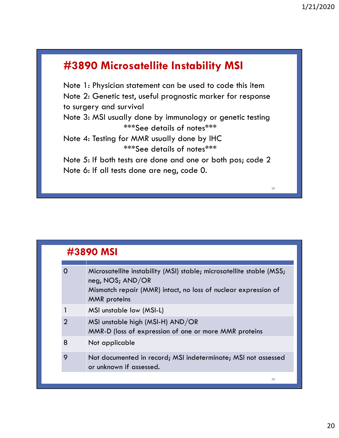### **#3890 Microsatellite Instability MSI**

Note 1: Physician statement can be used to code this item Note 2: Genetic test, useful prognostic marker for response to surgery and survival Note 3: MSI usually done by immunology or genetic testing

\*\*\*See details of notes\*\*\*

Note 4: Testing for MMR usually done by IHC \*\*\*See details of notes\*\*\*

Note 5: If both tests are done and one or both pos; code 2 Note 6: If all tests done are neg, code 0.

| #3890 MSI      |                                                                                                                                                                                   |  |  |
|----------------|-----------------------------------------------------------------------------------------------------------------------------------------------------------------------------------|--|--|
| O              | Microsatellite instability (MSI) stable; microsatellite stable (MSS;<br>neg, NOS; AND/OR<br>Mismatch repair (MMR) intact, no loss of nuclear expression of<br><b>MMR</b> proteins |  |  |
|                | MSI unstable low (MSI-L)                                                                                                                                                          |  |  |
| $\overline{2}$ | MSI unstable high (MSI-H) AND/OR<br>MMR-D (loss of expression of one or more MMR proteins                                                                                         |  |  |
| 8              | Not applicable                                                                                                                                                                    |  |  |
| 9              | Not documented in record; MSI indeterminate; MSI not assessed<br>or unknown if assessed.                                                                                          |  |  |
|                | 40                                                                                                                                                                                |  |  |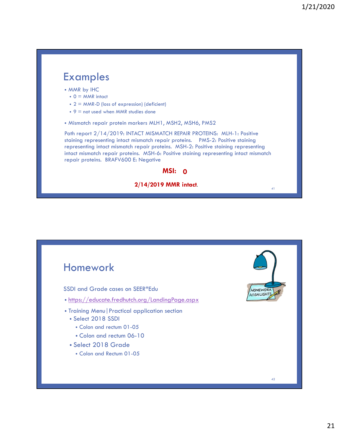#### Examples • MMR by IHC  $\bullet$  0 = MMR intact • 2 = MMR-D (loss of expression) (deficient) •  $9 =$  not used when MMR studies done • Mismatch repair protein markers MLH1, MSH2, MSH6, PMS2 Path report 2/14/2019: INTACT MISMATCH REPAIR PROTEINS: MLH-1: Positive staining representing intact mismatch repair proteins. PMS-2: Positive staining representing intact mismatch repair proteins. MSH-2: Positive staining representing intact mismatch repair proteins. MSH-6: Positive staining representing intact mismatch repair proteins. BRAFV600 E: Negative **MSI: 0** 41 **2/14/2019 MMR intact**.